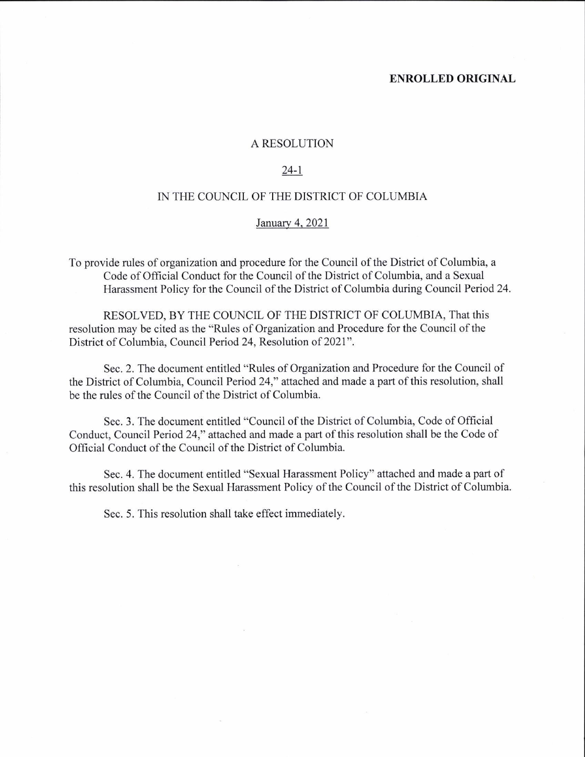#### ENROLLED ORIGINAL

#### A RESOLUTION

#### 24-l

### IN THE COUNCIL OF THE DISTRICT OF COLUMBIA

#### .Ianuarv 4. 2021

To provide rules of organization and procedure for the Council of the District of Columbia, a Code of Official Conduct for the Council of the District of Columbia, and a Sexual Harassment Policy for the Council of the District of Columbia during Council Period 24.

RESOLVED, BY THE COUNCIL OF THE DISTRICT OF COLUMBIA, That this resolution may be cited as the "Rules of Organization and Procedure for the Council of the District of Columbia, Council Period 24, Resolution of 2021".

Sec. 2. The document entitled "Rules of Organization and Procedure for the Council of the District of Columbia, Council Period 24," attached and made a part of this resolution, shall be the rules of the Council of the District of Columbia.

Sec. 3. The document entitled "Council of the District of Columbia, Code of Official Conduct, Council Period 24," attached and made a part of this resolution shall be the Code of Official Conduct of the Council of the District of Columbia.

Sec. 4. The document entitled "Sexual Harassment Policy" attached and made a part of this resolution shall be the Sexual Harassment Policy of the Council of the District of Columbia.

Sec. 5. This resolution shall take effect immediately.